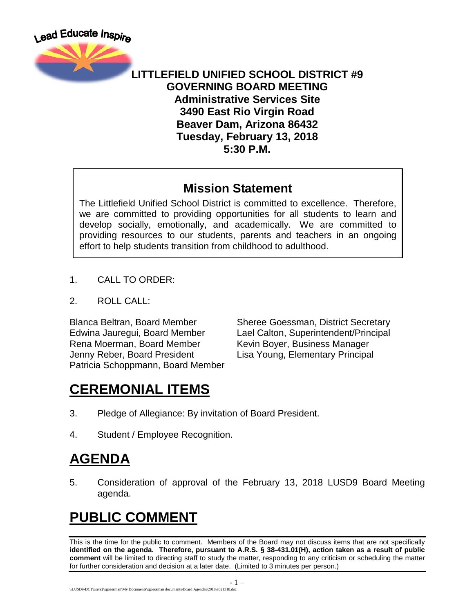

#### **LITTLEFIELD UNIFIED SCHOOL DISTRICT #9 GOVERNING BOARD MEETING Administrative Services Site 3490 East Rio Virgin Road Beaver Dam, Arizona 86432 Tuesday, February 13, 2018 5:30 P.M.**

#### **Mission Statement**

The Littlefield Unified School District is committed to excellence. Therefore, we are committed to providing opportunities for all students to learn and develop socially, emotionally, and academically. We are committed to providing resources to our students, parents and teachers in an ongoing effort to help students transition from childhood to adulthood.

- 1. CALL TO ORDER:
- 2. ROLL CALL:

Rena Moerman, Board Member Kevin Boyer, Business Manager Jenny Reber, Board President Lisa Young, Elementary Principal Patricia Schoppmann, Board Member

Blanca Beltran, Board Member Sheree Goessman, District Secretary Edwina Jauregui, Board Member Lael Calton, Superintendent/Principal

# **CEREMONIAL ITEMS**

- 3. Pledge of Allegiance: By invitation of Board President.
- 4. Student / Employee Recognition.

# **AGENDA**

5. Consideration of approval of the February 13, 2018 LUSD9 Board Meeting agenda.

#### **PUBLIC COMMENT**

This is the time for the public to comment. Members of the Board may not discuss items that are not specifically **identified on the agenda. Therefore, pursuant to A.R.S. § 38-431.01(H), action taken as a result of public comment** will be limited to directing staff to study the matter, responding to any criticism or scheduling the matter for further consideration and decision at a later date. (Limited to 3 minutes per person.)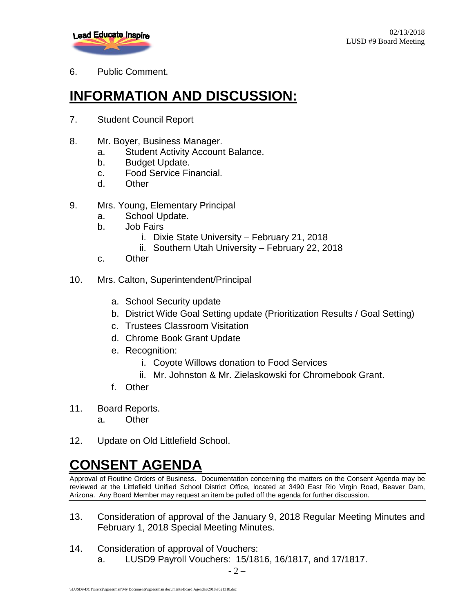

6. Public Comment.

# **INFORMATION AND DISCUSSION:**

- 7. Student Council Report
- 8. Mr. Boyer, Business Manager.
	- a. Student Activity Account Balance.
	- b. Budget Update.
	- c. Food Service Financial.
	- d. Other
- 9. Mrs. Young, Elementary Principal
	- a. School Update.
	- b. Job Fairs
		- i. Dixie State University February 21, 2018
		- ii. Southern Utah University February 22, 2018
	- c. Other
- 10. Mrs. Calton, Superintendent/Principal
	- a. School Security update
	- b. District Wide Goal Setting update (Prioritization Results / Goal Setting)
	- c. Trustees Classroom Visitation
	- d. Chrome Book Grant Update
	- e. Recognition:
		- i. Coyote Willows donation to Food Services
		- ii. Mr. Johnston & Mr. Zielaskowski for Chromebook Grant.
	- f. Other
- 11. Board Reports.
	- a. Other
- 12. Update on Old Littlefield School.

#### **CONSENT AGENDA**

Approval of Routine Orders of Business. Documentation concerning the matters on the Consent Agenda may be reviewed at the Littlefield Unified School District Office, located at 3490 East Rio Virgin Road, Beaver Dam, Arizona. Any Board Member may request an item be pulled off the agenda for further discussion.

- 13. Consideration of approval of the January 9, 2018 Regular Meeting Minutes and February 1, 2018 Special Meeting Minutes.
- 14. Consideration of approval of Vouchers: a. LUSD9 Payroll Vouchers: 15/1816, 16/1817, and 17/1817.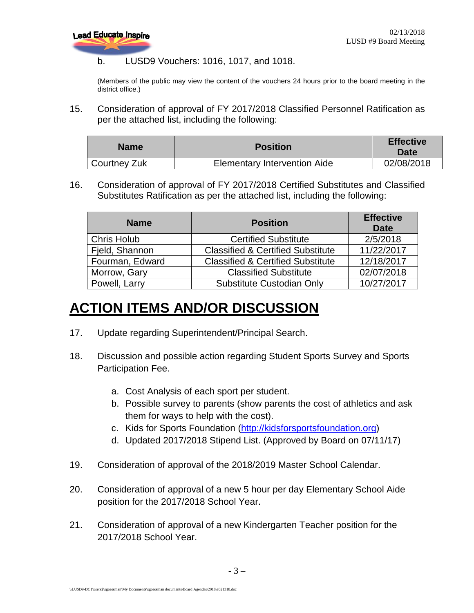

#### b. LUSD9 Vouchers: 1016, 1017, and 1018.

(Members of the public may view the content of the vouchers 24 hours prior to the board meeting in the district office.)

15. Consideration of approval of FY 2017/2018 Classified Personnel Ratification as per the attached list, including the following:

| <b>Name</b>  | <b>Position</b>                     | <b>Effective</b><br>Date |
|--------------|-------------------------------------|--------------------------|
| Courtney Zuk | <b>Elementary Intervention Aide</b> | 02/08/2018               |

16. Consideration of approval of FY 2017/2018 Certified Substitutes and Classified Substitutes Ratification as per the attached list, including the following:

| <b>Name</b>        | <b>Position</b>                              | <b>Effective</b><br><b>Date</b> |
|--------------------|----------------------------------------------|---------------------------------|
| <b>Chris Holub</b> | <b>Certified Substitute</b>                  | 2/5/2018                        |
| Fjeld, Shannon     | <b>Classified &amp; Certified Substitute</b> | 11/22/2017                      |
| Fourman, Edward    | <b>Classified &amp; Certified Substitute</b> | 12/18/2017                      |
| Morrow, Gary       | <b>Classified Substitute</b>                 | 02/07/2018                      |
| Powell, Larry      | Substitute Custodian Only                    | 10/27/2017                      |

#### **ACTION ITEMS AND/OR DISCUSSION**

- 17. Update regarding Superintendent/Principal Search.
- 18. Discussion and possible action regarding Student Sports Survey and Sports Participation Fee.
	- a. Cost Analysis of each sport per student.
	- b. Possible survey to parents (show parents the cost of athletics and ask them for ways to help with the cost).
	- c. Kids for Sports Foundation [\(http://kidsforsportsfoundation.org\)](http://kidsforsportsfoundation.org/)
	- d. Updated 2017/2018 Stipend List. (Approved by Board on 07/11/17)
- 19. Consideration of approval of the 2018/2019 Master School Calendar.
- 20. Consideration of approval of a new 5 hour per day Elementary School Aide position for the 2017/2018 School Year.
- 21. Consideration of approval of a new Kindergarten Teacher position for the 2017/2018 School Year.